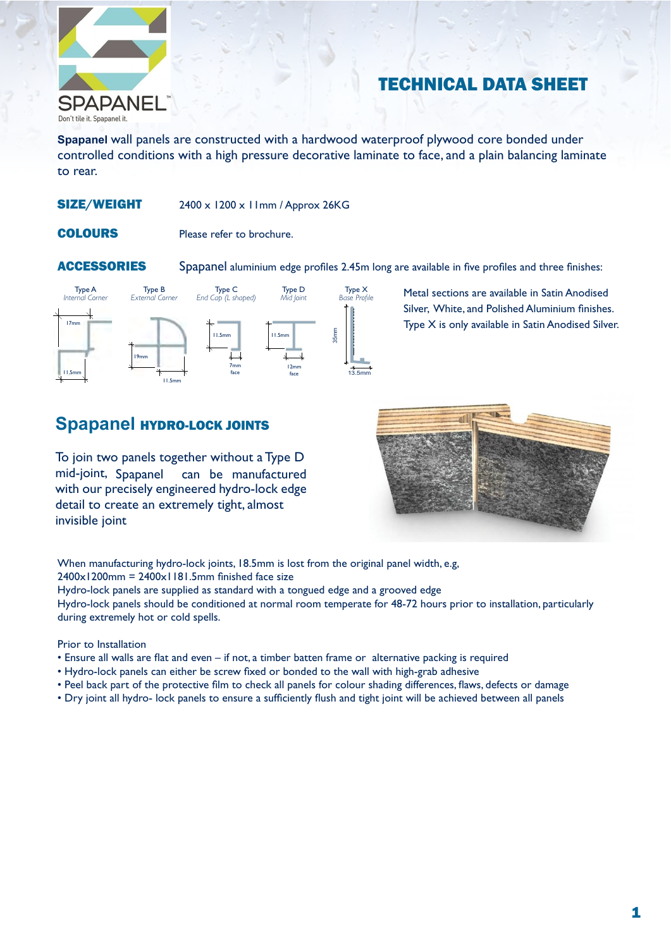

# TECHNICAL DATA SHEET

controlled conditions with a high pressure decorative laminate to face, and a plain balancing laminate to rear. **Spapanel** wall panels are constructed with a hardwood waterproof plywood core bonded under

## SIZE/WEIGHT 2400 x 1200 x 11mm / Approx 26KG

COLOURS Please refer to brochure.

ACCESSORIES Spapanel aluminium edge profiles 2.45m long are available in five profiles and three finishes:



Metal sections are available in Satin Anodised Silver, White, and Polished Aluminium finishes. Type X is only available in Satin Anodised Silver.

# **Spapanel** HYDRO-LOCK JOINTS

To join two panels together without a Type D mid-joint, Spapanel with our precisely engineered hydro-lock edge detail to create an extremely tight, almost invisible joint can be manufactured



When manufacturing hydro-lock joints, 18.5mm is lost from the original panel width, e.g,  $2400 \times 1200$ mm =  $2400 \times 1181.5$ mm finished face size

Hydro-lock panels are supplied as standard with a tongued edge and a grooved edge

Hydro-lock panels should be conditioned at normal room temperate for 48-72 hours prior to installation, particularly during extremely hot or cold spells.

Prior to Installation

- Ensure all walls are flat and even if not, a timber batten frame or alternative packing is required
- Hydro-lock panels can either be screw fixed or bonded to the wall with high-grab adhesive
- Peel back part of the protective film to check all panels for colour shading differences, flaws, defects or damage
- Dry joint all hydro- lock panels to ensure a sufficiently flush and tight joint will be achieved between all panels